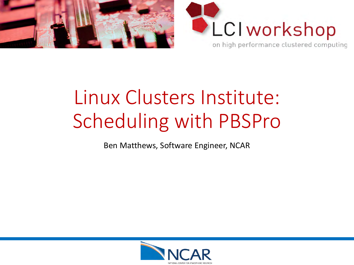



# Linux Clusters Institute: Scheduling with PBSPro

Ben Matthews, Software Engineer, NCAR

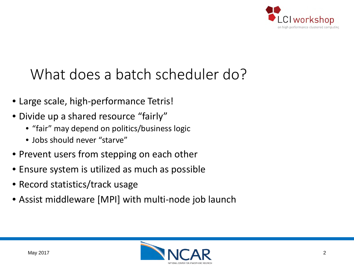

### What does a batch scheduler do?

- Large scale, high-performance Tetris!
- Divide up a shared resource "fairly"
	- "fair" may depend on politics/business logic
	- Jobs should never "starve"
- Prevent users from stepping on each other
- Ensure system is utilized as much as possible
- Record statistics/track usage
- Assist middleware [MPI] with multi-node job launch

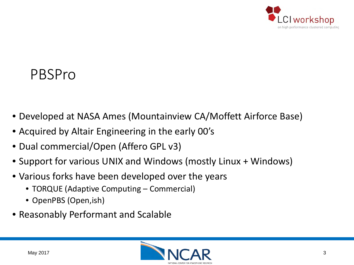

#### PBSPro

- Developed at NASA Ames (Mountainview CA/Moffett Airforce Base)
- Acquired by Altair Engineering in the early 00's
- Dual commercial/Open (Affero GPL v3)
- Support for various UNIX and Windows (mostly Linux + Windows)
- Various forks have been developed over the years
	- TORQUE (Adaptive Computing Commercial)
	- OpenPBS (Open,ish)
- Reasonably Performant and Scalable

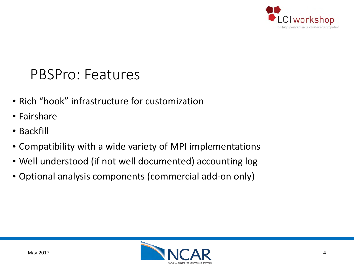

#### PBSPro: Features

- Rich "hook" infrastructure for customization
- Fairshare
- Backfill
- Compatibility with a wide variety of MPI implementations
- Well understood (if not well documented) accounting log
- Optional analysis components (commercial add-on only)

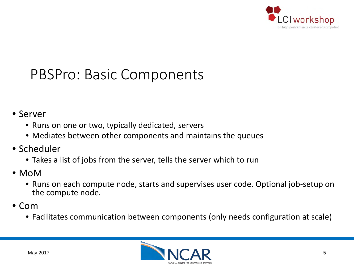

### PBSPro: Basic Components

#### • Server

- Runs on one or two, typically dedicated, servers
- Mediates between other components and maintains the queues
- Scheduler
	- Takes a list of jobs from the server, tells the server which to run
- MoM
	- Runs on each compute node, starts and supervises user code. Optional job-setup on the compute node.
- Com
	- Facilitates communication between components (only needs configuration at scale)

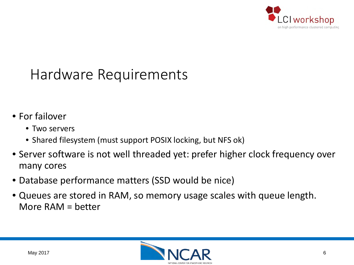

### Hardware Requirements

- For failover
	- Two servers
	- Shared filesystem (must support POSIX locking, but NFS ok)
- Server software is not well threaded yet: prefer higher clock frequency over many cores
- Database performance matters (SSD would be nice)
- Queues are stored in RAM, so memory usage scales with queue length. More RAM = better

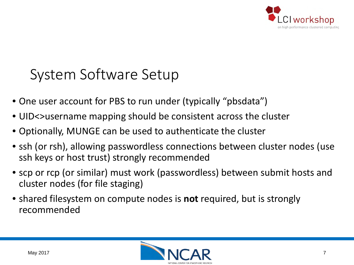

### System Software Setup

- One user account for PBS to run under (typically "pbsdata")
- UID<>username mapping should be consistent across the cluster
- Optionally, MUNGE can be used to authenticate the cluster
- ssh (or rsh), allowing passwordless connections between cluster nodes (use ssh keys or host trust) strongly recommended
- scp or rcp (or similar) must work (passwordless) between submit hosts and cluster nodes (for file staging)
- shared filesystem on compute nodes is **not** required, but is strongly recommended

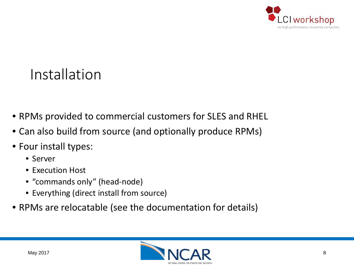

### Installation

- RPMs provided to commercial customers for SLES and RHEL
- Can also build from source (and optionally produce RPMs)
- Four install types:
	- Server
	- Execution Host
	- "commands only" (head-node)
	- Everything (direct install from source)
- RPMs are relocatable (see the documentation for details)

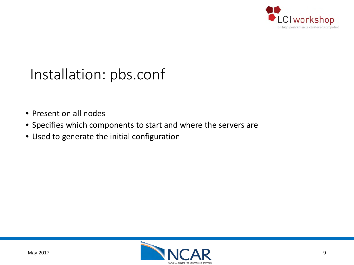

### Installation: pbs.conf

- Present on all nodes
- Specifies which components to start and where the servers are
- Used to generate the initial configuration

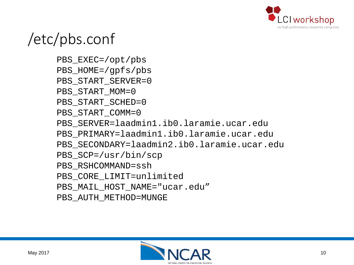

### /etc/pbs.conf

PBS\_EXEC=/opt/pbs PBS\_HOME=/gpfs/pbs PBS START SERVER=0 PBS START MOM=0 PBS START SCHED=0 PBS START COMM=0 PBS\_SERVER=laadmin1.ib0.laramie.ucar.edu PBS\_PRIMARY=laadmin1.ib0.laramie.ucar.edu PBS\_SECONDARY=laadmin2.ib0.laramie.ucar.edu PBS\_SCP=/usr/bin/scp PBS\_RSHCOMMAND=ssh PBS\_CORE\_LIMIT=unlimited PBS MAIL HOST NAME="ucar.edu" PBS\_AUTH\_METHOD=MUNGE

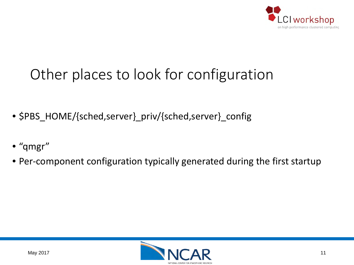

## Other places to look for configuration

- \$PBS\_HOME/{sched,server}\_priv/{sched,server}\_config
- "qmgr"
- Per-component configuration typically generated during the first startup

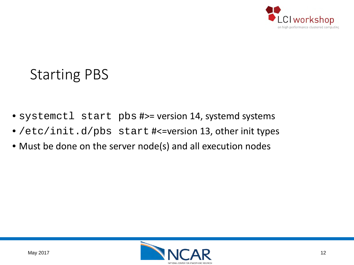

### Starting PBS

- systemctl start pbs #>= version 14, systemd systems
- /etc/init.d/pbs start #<=version 13, other init types
- Must be done on the server node(s) and all execution nodes

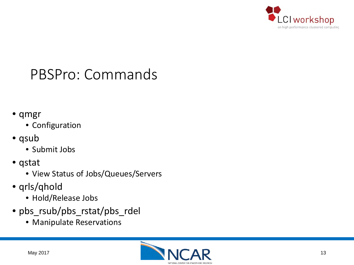

### PBSPro: Commands

- qmgr
	- Configuration
- qsub
	- Submit Jobs
- qstat
	- View Status of Jobs/Queues/Servers
- qrls/qhold
	- Hold/Release Jobs
- pbs\_rsub/pbs\_rstat/pbs\_rdel
	- Manipulate Reservations

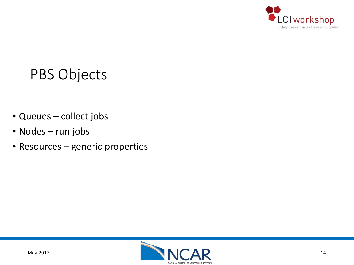

### PBS Objects

- Queues collect jobs
- Nodes run jobs
- Resources generic properties

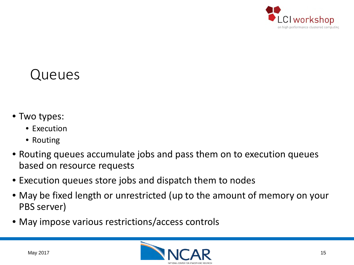

#### Queues

- Two types:
	- Execution
	- Routing
- Routing queues accumulate jobs and pass them on to execution queues based on resource requests
- Execution queues store jobs and dispatch them to nodes
- May be fixed length or unrestricted (up to the amount of memory on your PBS server)
- May impose various restrictions/access controls

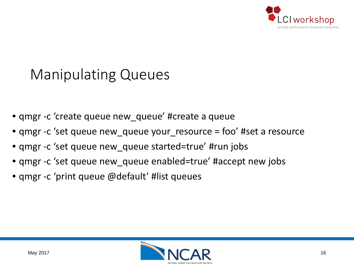

### Manipulating Queues

- qmgr -c 'create queue new\_queue' #create a queue
- qmgr -c 'set queue new\_queue your\_resource = foo' #set a resource
- qmgr -c 'set queue new\_queue started=true' #run jobs
- qmgr -c 'set queue new\_queue enabled=true' #accept new jobs
- qmgr -c 'print queue @default' #list queues

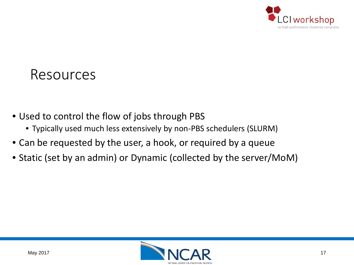

#### Resources

- Used to control the flow of jobs through PBS
	- Typically used much less extensively by non-PBS schedulers (SLURM)
- Can be requested by the user, a hook, or required by a queue
- Static (set by an admin) or Dynamic (collected by the server/MoM)

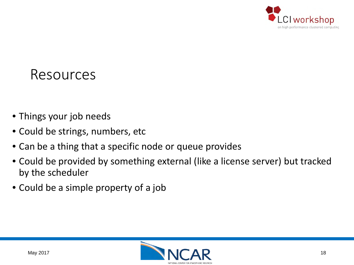

#### Resources

- Things your job needs
- Could be strings, numbers, etc
- Can be a thing that a specific node or queue provides
- Could be provided by something external (like a license server) but tracked by the scheduler
- Could be a simple property of a job

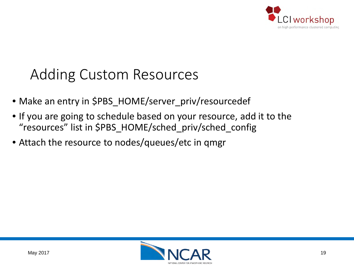

### Adding Custom Resources

- Make an entry in \$PBS\_HOME/server\_priv/resourcedef
- If you are going to schedule based on your resource, add it to the "resources" list in \$PBS\_HOME/sched\_priv/sched\_config
- Attach the resource to nodes/queues/etc in qmgr

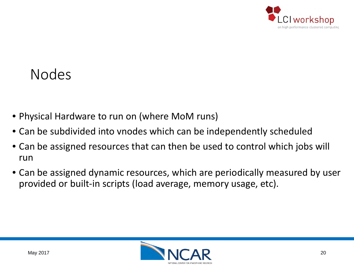

#### Nodes

- Physical Hardware to run on (where MoM runs)
- Can be subdivided into vnodes which can be independently scheduled
- Can be assigned resources that can then be used to control which jobs will run
- Can be assigned dynamic resources, which are periodically measured by user provided or built-in scripts (load average, memory usage, etc).

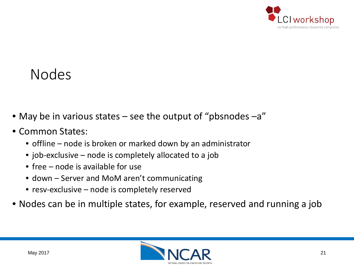

#### Nodes

- May be in various states see the output of "pbsnodes –a"
- Common States:
	- offline node is broken or marked down by an administrator
	- job-exclusive node is completely allocated to a job
	- free node is available for use
	- down Server and MoM aren't communicating
	- resv-exclusive node is completely reserved
- Nodes can be in multiple states, for example, reserved and running a job

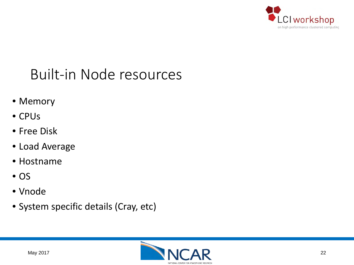

### Built-in Node resources

- Memory
- CPUs
- Free Disk
- Load Average
- Hostname
- OS
- Vnode
- System specific details (Cray, etc)

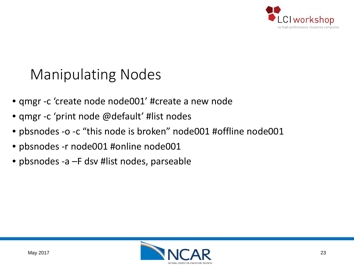

### Manipulating Nodes

- qmgr -c 'create node node001' #create a new node
- qmgr -c 'print node @default' #list nodes
- pbsnodes -o -c "this node is broken" node001 #offline node001
- pbsnodes -r node001 #online node001
- pbsnodes -a –F dsv #list nodes, parseable

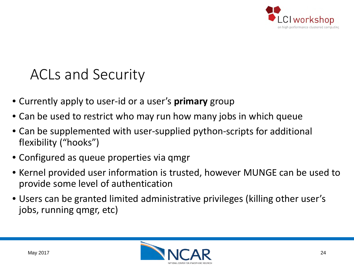

#### ACLs and Security

- Currently apply to user-id or a user's **primary** group
- Can be used to restrict who may run how many jobs in which queue
- Can be supplemented with user-supplied python-scripts for additional flexibility ("hooks")
- Configured as queue properties via qmgr
- Kernel provided user information is trusted, however MUNGE can be used to provide some level of authentication
- Users can be granted limited administrative privileges (killing other user's jobs, running qmgr, etc)

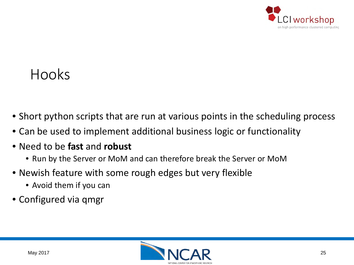

#### Hooks

- Short python scripts that are run at various points in the scheduling process
- Can be used to implement additional business logic or functionality
- Need to be **fast** and **robust**
	- Run by the Server or MoM and can therefore break the Server or MoM
- Newish feature with some rough edges but very flexible
	- Avoid them if you can
- Configured via qmgr

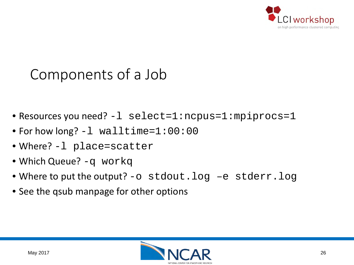

### Components of a Job

- Resources you need? -l select=1:ncpus=1:mpiprocs=1
- For how long? -1 walltime=1:00:00
- Where? -l place=scatter
- Which Queue? -q workq
- Where to put the output? -o stdout.log -e stderr.log
- See the qsub manpage for other options

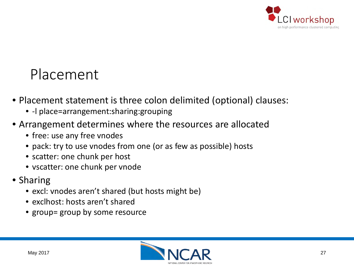

#### Placement

- Placement statement is three colon delimited (optional) clauses:
	- -l place=arrangement:sharing:grouping
- Arrangement determines where the resources are allocated
	- free: use any free vnodes
	- pack: try to use vnodes from one (or as few as possible) hosts
	- scatter: one chunk per host
	- vscatter: one chunk per vnode
- Sharing
	- excl: vnodes aren't shared (but hosts might be)
	- exclhost: hosts aren't shared
	- group= group by some resource

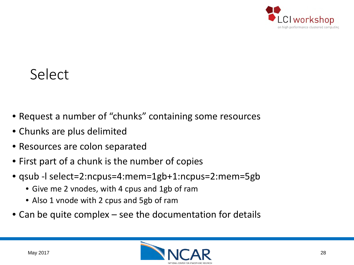

#### Select

- Request a number of "chunks" containing some resources
- Chunks are plus delimited
- Resources are colon separated
- First part of a chunk is the number of copies
- qsub -l select=2:ncpus=4:mem=1gb+1:ncpus=2:mem=5gb
	- Give me 2 vnodes, with 4 cpus and 1gb of ram
	- Also 1 vnode with 2 cpus and 5gb of ram
- Can be quite complex see the documentation for details

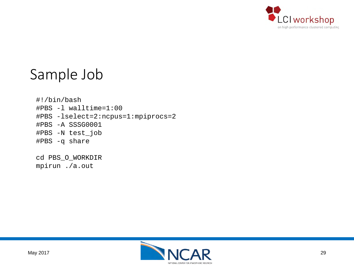

#### Sample Job

#!/bin/bash #PBS -l walltime=1:00 #PBS -lselect=2:ncpus=1:mpiprocs=2 #PBS -A SSSG0001 #PBS -N test\_job #PBS -q share

cd PBS\_O\_WORKDIR mpirun ./a.out

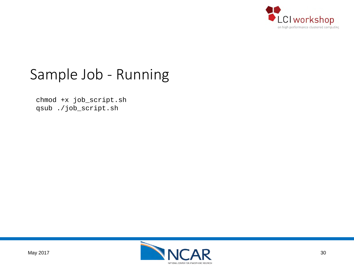

#### Sample Job - Running

chmod +x job\_script.sh qsub ./job\_script.sh

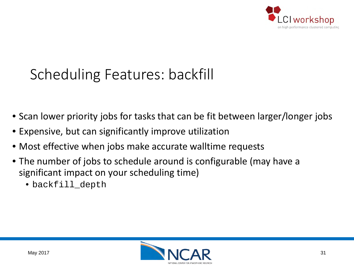

### Scheduling Features: backfill

- Scan lower priority jobs for tasks that can be fit between larger/longer jobs
- Expensive, but can significantly improve utilization
- Most effective when jobs make accurate walltime requests
- The number of jobs to schedule around is configurable (may have a significant impact on your scheduling time)
	- backfill depth

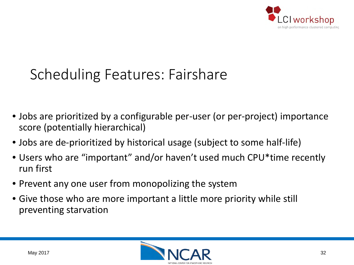

### Scheduling Features: Fairshare

- Jobs are prioritized by a configurable per-user (or per-project) importance score (potentially hierarchical)
- Jobs are de-prioritized by historical usage (subject to some half-life)
- Users who are "important" and/or haven't used much CPU\*time recently run first
- Prevent any one user from monopolizing the system
- Give those who are more important a little more priority while still preventing starvation

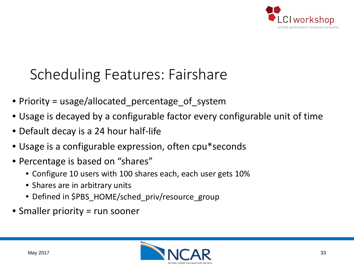

### Scheduling Features: Fairshare

- Priority = usage/allocated\_percentage\_of\_system
- Usage is decayed by a configurable factor every configurable unit of time
- Default decay is a 24 hour half-life
- Usage is a configurable expression, often cpu\*seconds
- Percentage is based on "shares"
	- Configure 10 users with 100 shares each, each user gets 10%
	- Shares are in arbitrary units
	- Defined in \$PBS HOME/sched priv/resource group
- Smaller priority = run sooner

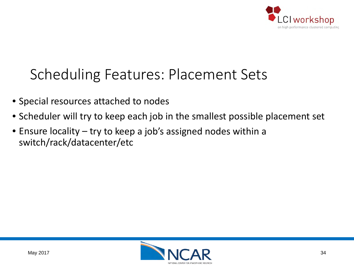

### Scheduling Features: Placement Sets

- Special resources attached to nodes
- Scheduler will try to keep each job in the smallest possible placement set
- Ensure locality try to keep a job's assigned nodes within a switch/rack/datacenter/etc

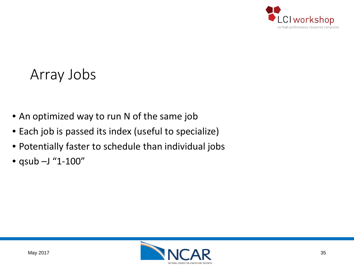

#### Array Jobs

- An optimized way to run N of the same job
- Each job is passed its index (useful to specialize)
- Potentially faster to schedule than individual jobs
- qsub –J "1-100"

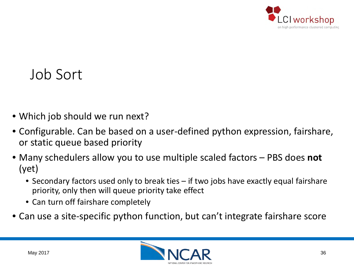

#### Job Sort

- Which job should we run next?
- Configurable. Can be based on a user-defined python expression, fairshare, or static queue based priority
- Many schedulers allow you to use multiple scaled factors PBS does **not** (yet)
	- Secondary factors used only to break ties if two jobs have exactly equal fairshare priority, only then will queue priority take effect
	- Can turn off fairshare completely
- Can use a site-specific python function, but can't integrate fairshare score

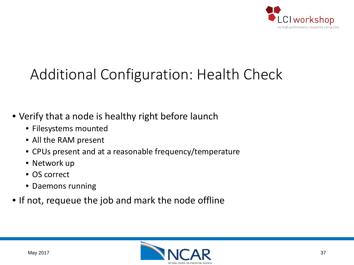

## Additional Configuration: Health Check

- Verify that a node is healthy right before launch
	- Filesystems mounted
	- All the RAM present
	- CPUs present and at a reasonable frequency/temperature
	- Network up
	- OS correct
	- Daemons running
- If not, requeue the job and mark the node offline

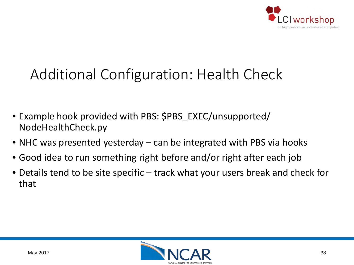

### Additional Configuration: Health Check

- Example hook provided with PBS: \$PBS\_EXEC/unsupported/ NodeHealthCheck.py
- NHC was presented yesterday can be integrated with PBS via hooks
- Good idea to run something right before and/or right after each job
- Details tend to be site specific track what your users break and check for that

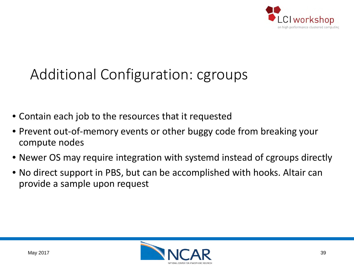

## Additional Configuration: cgroups

- Contain each job to the resources that it requested
- Prevent out-of-memory events or other buggy code from breaking your compute nodes
- Newer OS may require integration with systemd instead of cgroups directly
- No direct support in PBS, but can be accomplished with hooks. Altair can provide a sample upon request

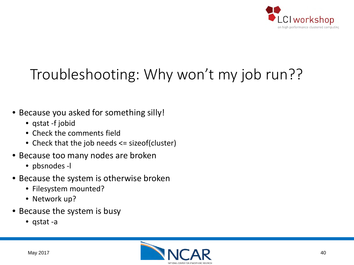

## Troubleshooting: Why won't my job run??

- Because you asked for something silly!
	- qstat -f jobid
	- Check the comments field
	- Check that the job needs <= sizeof(cluster)
- Because too many nodes are broken
	- pbsnodes -l
- Because the system is otherwise broken
	- Filesystem mounted?
	- Network up?
- Because the system is busy
	- qstat -a

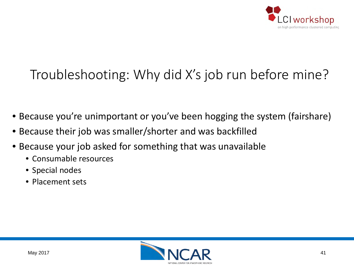

### Troubleshooting: Why did X's job run before mine?

- Because you're unimportant or you've been hogging the system (fairshare)
- Because their job was smaller/shorter and was backfilled
- Because your job asked for something that was unavailable
	- Consumable resources
	- Special nodes
	- Placement sets

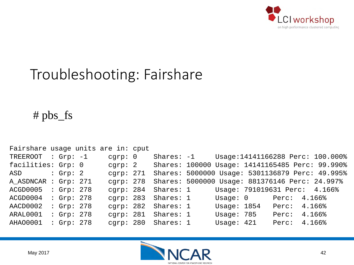

### Troubleshooting: Fairshare

#### # pbs\_fs

| Fairshare usage units are in: cput |              |             |             |              |       |                                                 |
|------------------------------------|--------------|-------------|-------------|--------------|-------|-------------------------------------------------|
| TREEROOT                           | : $Grp: -1$  | cgrp: 0     | Shares: -1  |              |       | Usage:14141166288 Perc: 100.000%                |
| facilities: Grp: 0                 |              | cgrp: 2     |             |              |       | Shares: 100000 Usage: 14141165485 Perc: 99.990% |
| ASD                                | : $Grp: 2$   | cqrp: 271   |             |              |       | Shares: 5000000 Usage: 5301136879 Perc: 49.995% |
| A ASDNCAR                          | : $Grp: 271$ | cgrp: 278   |             |              |       | Shares: 5000000 Usage: 881376146 Perc: 24.997%  |
| ACGD0005                           | : Grp: 278   | cqrp: $284$ | Shares: 1   |              |       | Usage: 791019631 Perc: 4.166%                   |
| ACGD0004                           | : Grp: 278   | cqrp: 283   | Shares: 1   | Usaqe: 0     | Perc: | 4.166%                                          |
| AACD0002                           | : Grp: 278   | cqrp: $282$ | Shares: $1$ | Usage: 1854  | Perc: | 4.166%                                          |
| ARAL0001                           | : Grp: 278   | cqrp: 281   | Shares: $1$ | Usage: $785$ | Perc: | 4.166%                                          |
| AHAO0001                           | : Grp: 278   | carp: 280   | Shares: $1$ | Usage: $421$ | Perc: | 4.166%                                          |

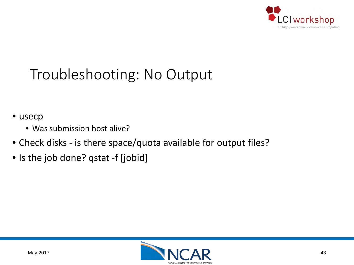

### Troubleshooting: No Output

- usecp
	- Was submission host alive?
- Check disks is there space/quota available for output files?
- Is the job done? qstat -f [jobid]

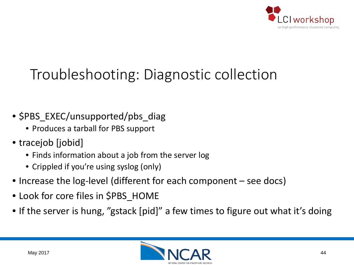

### Troubleshooting: Diagnostic collection

- \$PBS\_EXEC/unsupported/pbs\_diag
	- Produces a tarball for PBS support
- tracejob [jobid]
	- Finds information about a job from the server log
	- Crippled if you're using syslog (only)
- Increase the log-level (different for each component see docs)
- Look for core files in \$PBS\_HOME
- If the server is hung, "gstack [pid]" a few times to figure out what it's doing

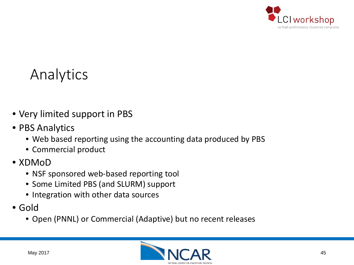

#### Analytics

- Very limited support in PBS
- PBS Analytics
	- Web based reporting using the accounting data produced by PBS
	- Commercial product
- XDMoD
	- NSF sponsored web-based reporting tool
	- Some Limited PBS (and SLURM) support
	- Integration with other data sources
- Gold
	- Open (PNNL) or Commercial (Adaptive) but no recent releases

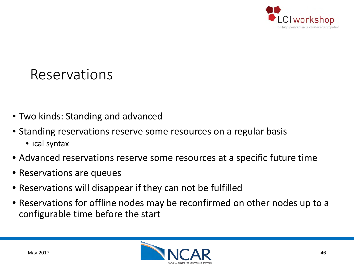

- Two kinds: Standing and advanced
- Standing reservations reserve some resources on a regular basis
	- ical syntax
- Advanced reservations reserve some resources at a specific future time
- Reservations are queues
- Reservations will disappear if they can not be fulfilled
- Reservations for offline nodes may be reconfirmed on other nodes up to a configurable time before the start

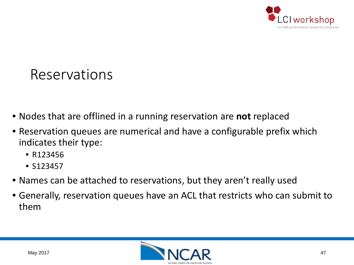

- Nodes that are offlined in a running reservation are **not** replaced
- Reservation queues are numerical and have a configurable prefix which indicates their type:
	- R123456
	- S123457
- Names can be attached to reservations, but they aren't really used
- Generally, reservation queues have an ACL that restricts who can submit to them

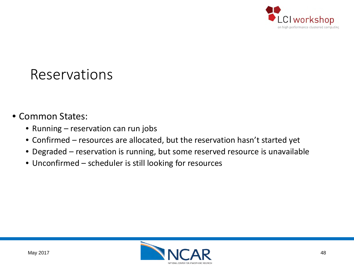

#### • Common States:

- Running reservation can run jobs
- Confirmed resources are allocated, but the reservation hasn't started yet
- Degraded reservation is running, but some reserved resource is unavailable
- Unconfirmed scheduler is still looking for resources

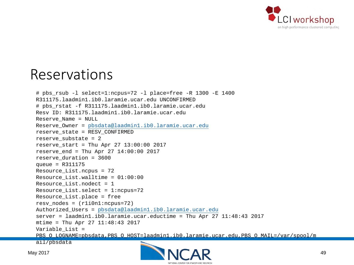

```
# pbs_rsub -l select=1:ncpus=72 -l place=free -R 1300 -E 1400
R311175.laadmin1.ib0.laramie.ucar.edu UNCONFIRMED
# pbs_rstat -f R311175.laadmin1.ib0.laramie.ucar.edu
Resv ID: R311175.laadmin1.ib0.laramie.ucar.edu
Reserve_Name = NULL
Reserve_Owner = pbsdata@laadmin1.ib0.laramie.ucar.edu
reserve_state = RESV_CONFIRMED
reserve_substate = 2
reserve_start = Thu Apr 27 13:00:00 2017
reserve end = Thu Apr 27 14:00:00 2017
reserve_duration = 3600
queue = R311175
Resource_List.ncpus = 72
Resource\_List.walltime = 01:00:00Resource_List.nodect = 1
Resource_List.select = 1:ncpus=72
Resource_List.place = free
resv nodes = (r1i0n1:ncpus=72)Authorized_Users = pbsdata@laadmin1.ib0.laramie.ucar.edu
server = laadmin1.ib0.laramie.ucar.eductime = Thu Apr 27 11:48:43 2017
mtime = Thu Apr 27 11:48:43 2017
Variable List =
PBS_O_LOGNAME=pbsdata,PBS_O_HOST=laadmin1.ib0.laramie.ucar.edu,PBS_O_MAIL=/var/spool/m
ail/pbsdata
```
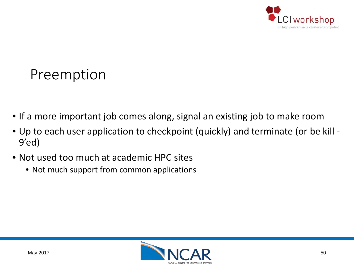

#### Preemption

- If a more important job comes along, signal an existing job to make room
- Up to each user application to checkpoint (quickly) and terminate (or be kill 9'ed)
- Not used too much at academic HPC sites
	- Not much support from common applications

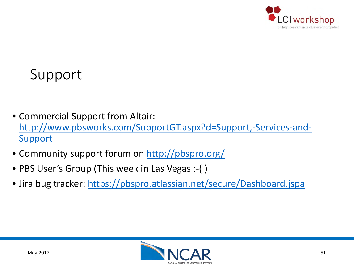

#### Support

- Commercial Support from Altair: [http://www.pbsworks.com/SupportGT.aspx?d=Support,-Services-and-](http://www.pbsworks.com/SupportGT.aspx?d=Support,-Services-and-Support)**Support**
- Community support forum on<http://pbspro.org/>
- PBS User's Group (This week in Las Vegas ;-( )
- Jira bug tracker: <https://pbspro.atlassian.net/secure/Dashboard.jspa>